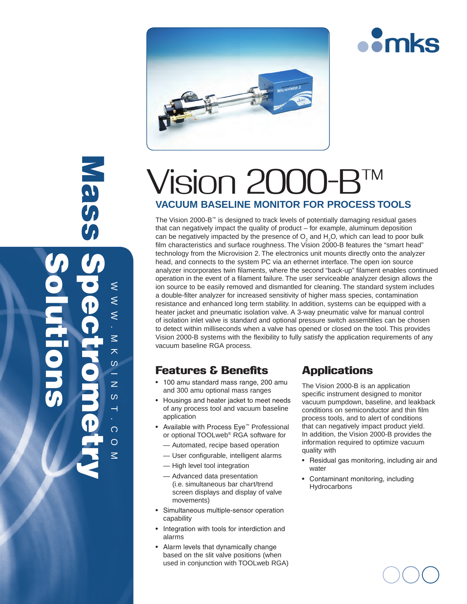

# Vision 2 **VACUUM BASELINE MONITOR FOR PROCESS TOOLS**

The Vision 2000-B™ is designed to track levels of potentially damaging residual gases that can negatively impact the quality of product – for example, aluminum deposition can be negatively impacted by the presence of  $\mathsf{O}_2$  and  $\mathsf{H}_2\mathsf{O}$ , which can lead to poor bulk film characteristics and surface roughness. The Vision 2000-B features the "smart head" technology from the Microvision 2. The electronics unit mounts directly onto the analyzer head, and connects to the system PC via an ethernet interface. The open ion source analyzer incorporates twin filaments, where the second "back-up" filament enables continued operation in the event of a filament failure. The user serviceable analyzer design allows the ion source to be easily removed and dismantled for cleaning. The standard system includes a double-filter analyzer for increased sensitivity of higher mass species, contamination resistance and enhanced long term stability. In addition, systems can be equipped with a heater jacket and pneumatic isolation valve. A 3-way pneumatic valve for manual control of isolation inlet valve is standard and optional pressure switch assemblies can be chosen to detect within milliseconds when a valve has opened or closed on the tool. This provides Vision 2000-B systems with the flexibility to fully satisfy the application requirements of any vacuum baseline RGA process.

## Features & Benefits

 $\approx$   $\approx$ 

⋚  $\leq$  $\leq$ 

Mass

.

Solutions

mksi

 $\leq$ 大  $\omega$ ÷,

Spectrometry

 $\overline{z}$ 

 $\frac{3}{1}$ 

.

com

- 100 amu standard mass range, 200 amu and 300 amu optional mass ranges
- Housings and heater jacket to meet needs of any process tool and vacuum baseline application
- • Available with Process Eye™ Professional or optional TOOLweb® RGA software for
	- Automated, recipe based operation
	- User configurable, intelligent alarms
	- High level tool integration
	- Advanced data presentation (i.e. simultaneous bar chart/trend screen displays and display of valve movements)
- Simultaneous multiple-sensor operation capability
- Integration with tools for interdiction and alarms
- Alarm levels that dynamically change based on the slit valve positions (when used in conjunction with TOOLweb RGA)

## **Applications**

The Vision 2000-B is an application specific instrument designed to monitor vacuum pumpdown, baseline, and leakback conditions on semiconductor and thin film process tools, and to alert of conditions that can negatively impact product yield. In addition, the Vision 2000-B provides the information required to optimize vacuum quality with

**omks** 

- Residual gas monitoring, including air and water
- • Contaminant monitoring, including **Hydrocarbons**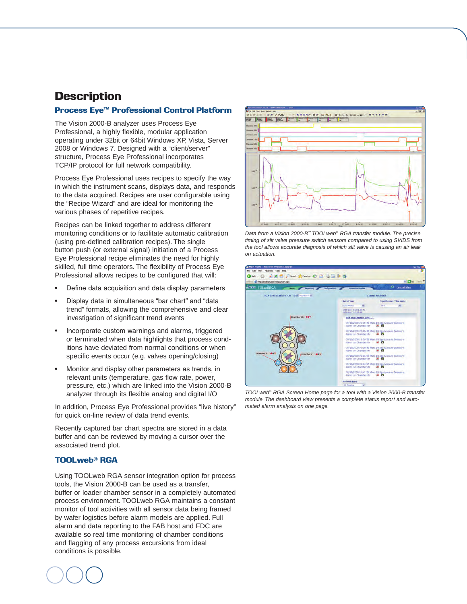## **Description**

#### Process Eye™ Professional Control Platform

The Vision 2000-B analyzer uses Process Eye Professional, a highly flexible, modular application operating under 32bit or 64bit Windows XP, Vista, Server 2008 or Windows 7. Designed with a "client/server" structure, Process Eye Professional incorporates TCP/IP protocol for full network compatibility.

Process Eye Professional uses recipes to specify the way in which the instrument scans, displays data, and responds to the data acquired. Recipes are user configurable using the "Recipe Wizard" and are ideal for monitoring the various phases of repetitive recipes.

Recipes can be linked together to address different monitoring conditions or to facilitate automatic calibration (using pre-defined calibration recipes). The single button push (or external signal) initiation of a Process Eye Professional recipe eliminates the need for highly skilled, full time operators. The flexibility of Process Eye Professional allows recipes to be configured that will:

- Define data acquisition and data display parameters
- Display data in simultaneous "bar chart" and "data trend" formats, allowing the comprehensive and clear investigation of significant trend events
- Incorporate custom warnings and alarms, triggered or terminated when data highlights that process conditions have deviated from normal conditions or when specific events occur (e.g. valves opening/closing)
- Monitor and display other parameters as trends, in relevant units (temperature, gas flow rate, power, pressure, etc.) which are linked into the Vision 2000-B analyzer through its flexible analog and digital I/O

In addition, Process Eye Professional provides "live history" for quick on-line review of data trend events.

Recently captured bar chart spectra are stored in a data buffer and can be reviewed by moving a cursor over the associated trend plot.

#### TOOLweb® RGA

Using TOOLweb RGA sensor integration option for process tools, the Vision 2000-B can be used as a transfer, buffer or loader chamber sensor in a completely automated process environment. TOOLweb RGA maintains a constant monitor of tool activities with all sensor data being framed by wafer logistics before alarm models are applied. Full alarm and data reporting to the FAB host and FDC are available so real time monitoring of chamber conditions and flagging of any process excursions from ideal conditions is possible.







*TOOLweb® RGA Screen Home page for a tool with a Vision 2000-B transfer module. The dashboard view presents a complete status report and automated alarm analysis on one page.*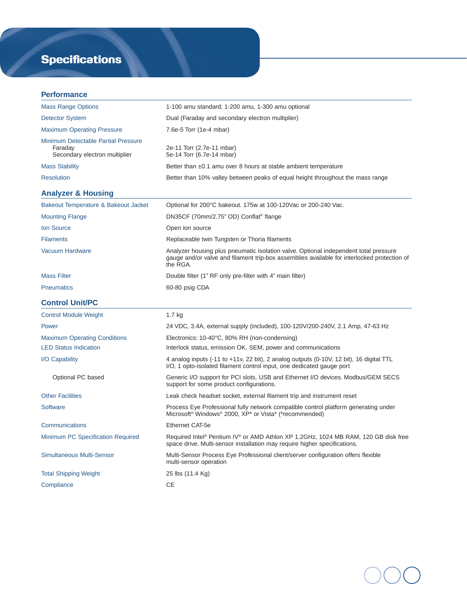## **Specifications**

#### **Performance**

| <b>Mass Range Options</b>                                                              | 1-100 amu standard; 1-200 amu, 1-300 amu optional                                                                                                                                               |
|----------------------------------------------------------------------------------------|-------------------------------------------------------------------------------------------------------------------------------------------------------------------------------------------------|
| <b>Detector System</b>                                                                 | Dual (Faraday and secondary electron multiplier)                                                                                                                                                |
| <b>Maximum Operating Pressure</b>                                                      | 7.6e-5 Torr (1e-4 mbar)                                                                                                                                                                         |
| <b>Minimum Detectable Partial Pressure</b><br>Faraday<br>Secondary electron multiplier | 2e-11 Torr (2.7e-11 mbar)<br>5e-14 Torr (6.7e-14 mbar)                                                                                                                                          |
| <b>Mass Stability</b>                                                                  | Better than $\pm 0.1$ amu over 8 hours at stable ambient temperature                                                                                                                            |
| <b>Resolution</b>                                                                      | Better than 10% valley between peaks of equal height throughout the mass range                                                                                                                  |
| <b>Analyzer &amp; Housing</b>                                                          |                                                                                                                                                                                                 |
| Bakeout Temperature & Bakeout Jacket                                                   | Optional for 200°C bakeout. 175w at 100-120Vac or 200-240 Vac.                                                                                                                                  |
| <b>Mounting Flange</b>                                                                 | DN35CF (70mm/2.75" OD) Conflat <sup>®</sup> flange                                                                                                                                              |
| <b>Ion Source</b>                                                                      | Open ion source                                                                                                                                                                                 |
| <b>Filaments</b>                                                                       | Replaceable twin Tungsten or Thoria filaments                                                                                                                                                   |
| <b>Vacuum Hardware</b>                                                                 | Analyzer housing plus pneumatic isolation valve. Optional independent total pressure<br>gauge and/or valve and filament trip-box assemblies available for interlocked protection of<br>the RGA. |
| <b>Mass Filter</b>                                                                     | Double filter (1" RF only pre-filter with 4" main filter)                                                                                                                                       |
| <b>Pneumatics</b>                                                                      | 60-80 psig CDA                                                                                                                                                                                  |
|                                                                                        |                                                                                                                                                                                                 |
| <b>Control Unit/PC</b>                                                                 |                                                                                                                                                                                                 |
| <b>Control Module Weight</b>                                                           | 1.7 <sub>kg</sub>                                                                                                                                                                               |
| Power                                                                                  | 24 VDC, 3.4A, external supply (included), 100-120V/200-240V, 2.1 Amp, 47-63 Hz                                                                                                                  |
| <b>Maximum Operating Conditions</b>                                                    | Electronics: 10-40°C, 80% RH (non-condensing)                                                                                                                                                   |
| <b>LED Status Indication</b>                                                           | Interlock status, emission OK, SEM, power and communications                                                                                                                                    |
| I/O Capability                                                                         | 4 analog inputs (-11 to +11v, 22 bit), 2 analog outputs (0-10V, 12 bit), 16 digital TTL<br>I/O, 1 opto-isolated filament control input, one dedicated gauge port                                |
| Optional PC based                                                                      | Generic I/O support for PCI slots, USB and Ethernet I/O devices. Modbus/GEM SECS<br>support for some product configurations.                                                                    |
| <b>Other Facilities</b>                                                                | Leak check headset socket, external filament trip and instrument reset                                                                                                                          |
| <b>Software</b>                                                                        | Process Eye Professional fully network compatible control platform generating under<br>Microsoft <sup>®</sup> Windows® 2000, XP* or Vista* (*recommended)                                       |
| Communications                                                                         | Ethernet CAT-5e                                                                                                                                                                                 |
| Minimum PC Specification Required                                                      | Required Intel® Pentium IV® or AMD Athlon XP 1.2GHz, 1024 MB RAM, 120 GB disk free<br>space drive. Multi-sensor installation may require higher specifications.                                 |
| <b>Simultaneous Multi-Sensor</b>                                                       | Multi-Sensor Process Eye Professional client/server configuration offers flexible<br>multi-sensor operation                                                                                     |
| <b>Total Shipping Weight</b>                                                           | 25 lbs (11.4 Kg)                                                                                                                                                                                |